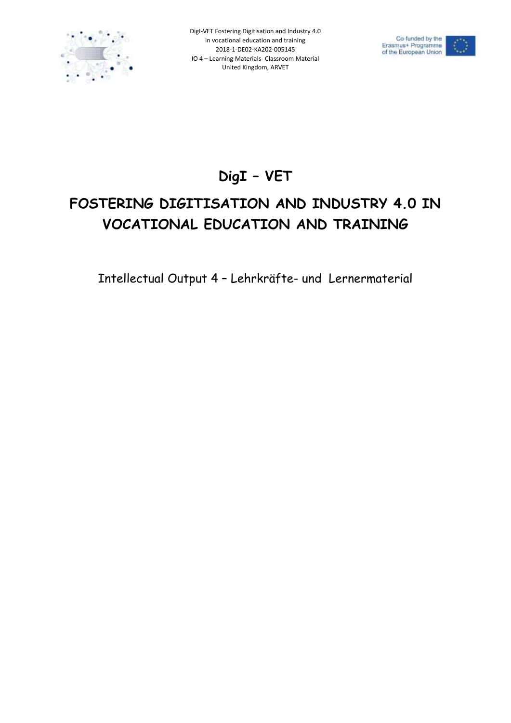



# **DigI – VET**

# **FOSTERING DIGITISATION AND INDUSTRY 4.0 IN VOCATIONAL EDUCATION AND TRAINING**

Intellectual Output 4 – Lehrkräfte- und Lernermaterial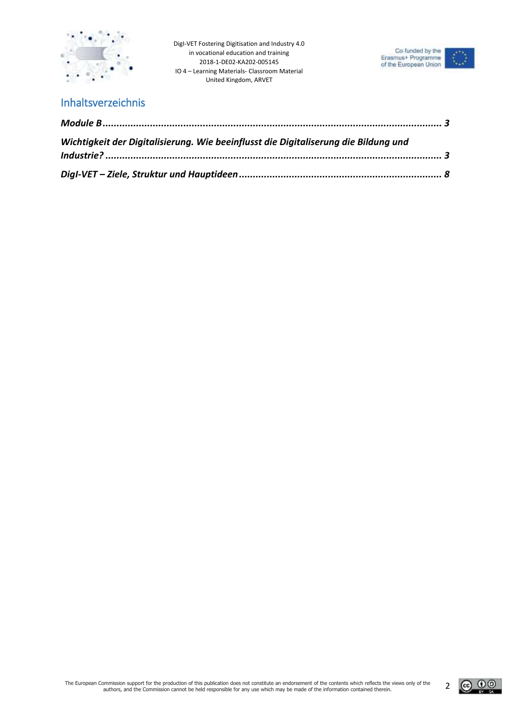



### Inhaltsverzeichnis

| Wichtigkeit der Digitalisierung. Wie beeinflusst die Digitaliserung die Bildung und |  |
|-------------------------------------------------------------------------------------|--|
|                                                                                     |  |
|                                                                                     |  |

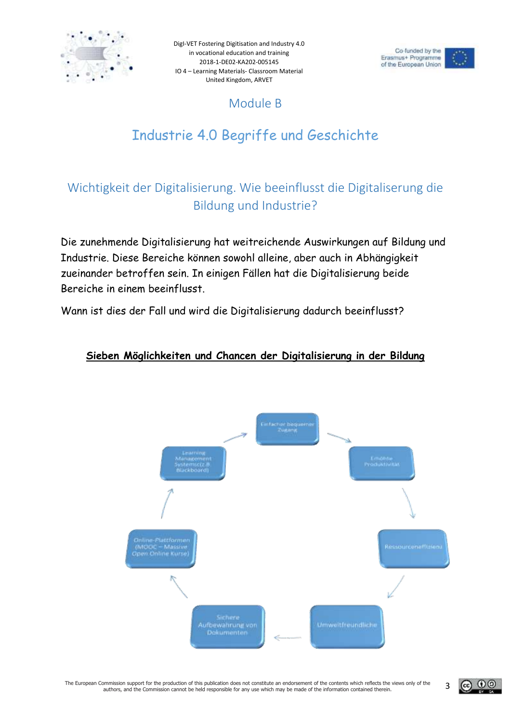<span id="page-2-0"></span>



## Module B

# Industrie 4.0 Begriffe und Geschichte

## <span id="page-2-1"></span>Wichtigkeit der Digitalisierung. Wie beeinflusst die Digitaliserung die Bildung und Industrie?

Die zunehmende Digitalisierung hat weitreichende Auswirkungen auf Bildung und Industrie. Diese Bereiche können sowohl alleine, aber auch in Abhängigkeit zueinander betroffen sein. In einigen Fällen hat die Digitalisierung beide Bereiche in einem beeinflusst.

Wann ist dies der Fall und wird die Digitalisierung dadurch beeinflusst?

#### **Sieben Möglichkeiten und Chancen der Digitalisierung in der Bildung**



The European Commission support for the production of this publication does not constitute an endorsement of the contents which reflects the views only of the  $\,$  3  $\,$ 

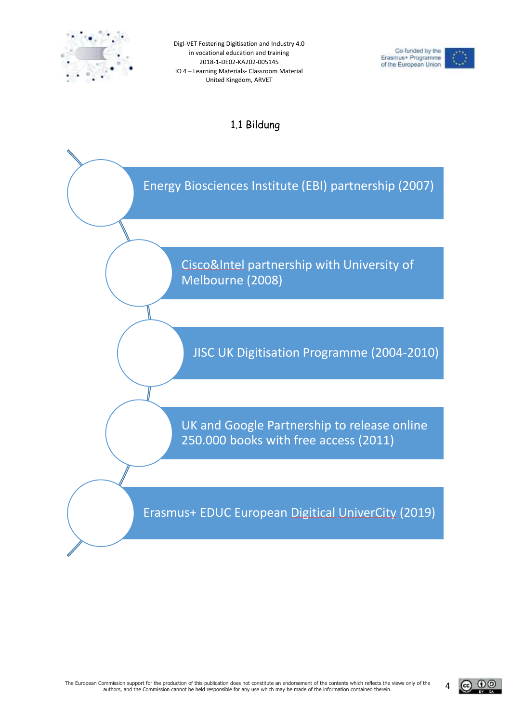



## 1.1 Bildung

Energy Biosciences Institute (EBI) partnership (2007)

Cisco&Intel partnership with University of Melbourne (2008)

JISC UK Digitisation Programme (2004-2010)

UK and Google Partnership to release online 250.000 books with free access (2011)

Erasmus+ EDUC European Digitical UniverCity (2019)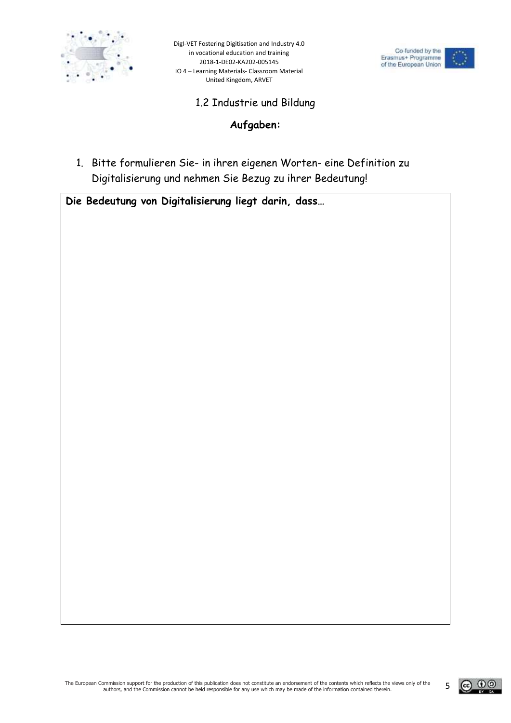



1.2 Industrie und Bildung

## **Aufgaben:**

1. Bitte formulieren Sie- in ihren eigenen Worten- eine Definition zu Digitalisierung und nehmen Sie Bezug zu ihrer Bedeutung!

**Die Bedeutung von Digitalisierung liegt darin, dass…**

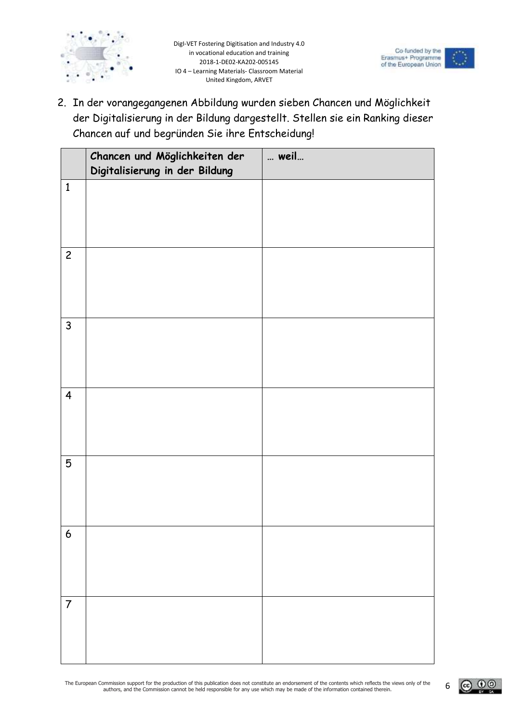



2. In der vorangegangenen Abbildung wurden sieben Chancen und Möglichkeit der Digitalisierung in der Bildung dargestellt. Stellen sie ein Ranking dieser Chancen auf und begründen Sie ihre Entscheidung!

|                | Chancen und Möglichkeiten der<br>Digitalisierung in der Bildung | weil |
|----------------|-----------------------------------------------------------------|------|
| $\mathbf{1}$   |                                                                 |      |
| $\overline{c}$ |                                                                 |      |
| $\mathsf{3}$   |                                                                 |      |
| $\overline{4}$ |                                                                 |      |
| 5              |                                                                 |      |
| 6              |                                                                 |      |
| $\overline{7}$ |                                                                 |      |

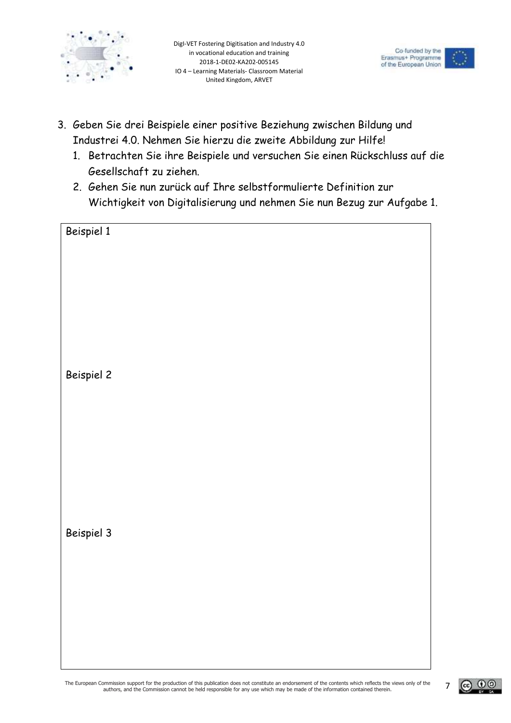



- 3. Geben Sie drei Beispiele einer positive Beziehung zwischen Bildung und Industrei 4.0. Nehmen Sie hierzu die zweite Abbildung zur Hilfe!
	- 1. Betrachten Sie ihre Beispiele und versuchen Sie einen Rückschluss auf die Gesellschaft zu ziehen.
	- 2. Gehen Sie nun zurück auf Ihre selbstformulierte Definition zur Wichtigkeit von Digitalisierung und nehmen Sie nun Bezug zur Aufgabe 1.

| Beispiel 1 |  |  |  |
|------------|--|--|--|
| Beispiel 2 |  |  |  |
| Beispiel 3 |  |  |  |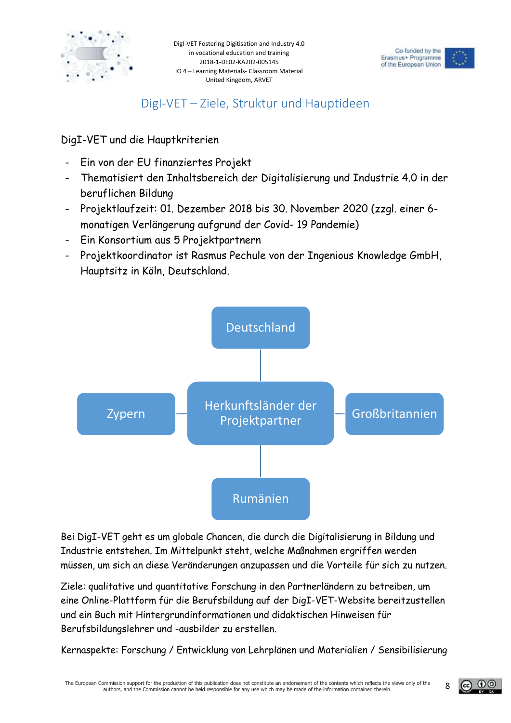



## DigI-VET – Ziele, Struktur und Hauptideen

<span id="page-7-0"></span>DigI-VET und die Hauptkriterien

- Ein von der EU finanziertes Projekt
- Thematisiert den Inhaltsbereich der Digitalisierung und Industrie 4.0 in der beruflichen Bildung
- Projektlaufzeit: 01. Dezember 2018 bis 30. November 2020 (zzgl. einer 6 monatigen Verlängerung aufgrund der Covid- 19 Pandemie)
- Ein Konsortium aus 5 Projektpartnern
- Projektkoordinator ist Rasmus Pechule von der Ingenious Knowledge GmbH, Hauptsitz in Köln, Deutschland.



Bei DigI-VET geht es um globale Chancen, die durch die Digitalisierung in Bildung und Industrie entstehen. Im Mittelpunkt steht, welche Maßnahmen ergriffen werden müssen, um sich an diese Veränderungen anzupassen und die Vorteile für sich zu nutzen.

Ziele: qualitative und quantitative Forschung in den Partnerländern zu betreiben, um eine Online-Plattform für die Berufsbildung auf der DigI-VET-Website bereitzustellen und ein Buch mit Hintergrundinformationen und didaktischen Hinweisen für Berufsbildungslehrer und -ausbilder zu erstellen.

Kernaspekte: Forschung / Entwicklung von Lehrplänen und Materialien / Sensibilisierung

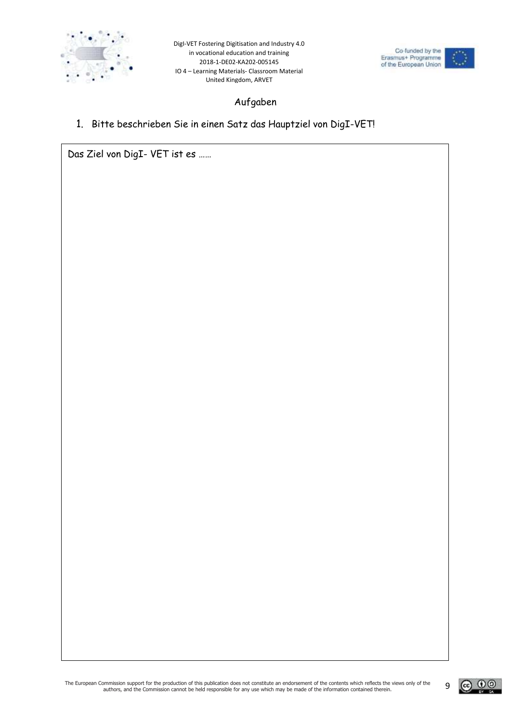

DigI-VET Fostering Digitisation and Industry 4.0 in vocational education and training 2018-1-DE02-KA202-005145 IO 4 – Learning Materials- Classroom Material<br>IO 4 – Learning Materials- Classroom Material United Kingdom, ARVET



#### Aufgaben

1. Bitte beschrieben Sie in einen Satz das Hauptziel von DigI-VET!

Das Ziel von DigI- VET ist es ……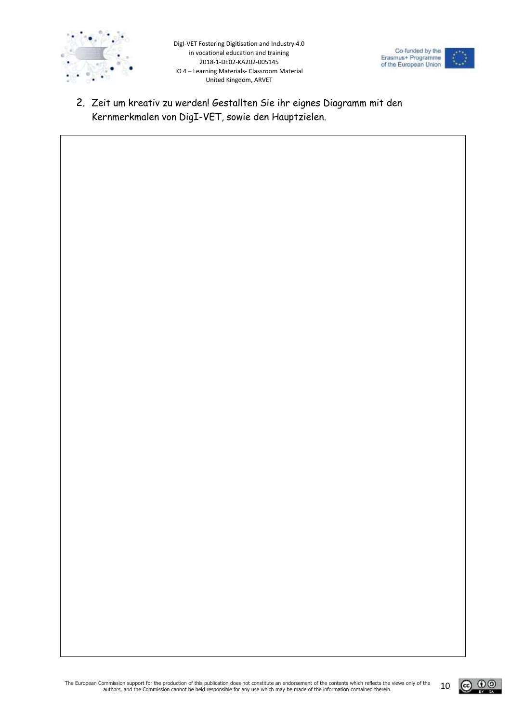



2. Zeit um kreativ zu werden! Gestallten Sie ihr eignes Diagramm mit den Kernmerkmalen von DigI-VET, sowie den Hauptzielen.

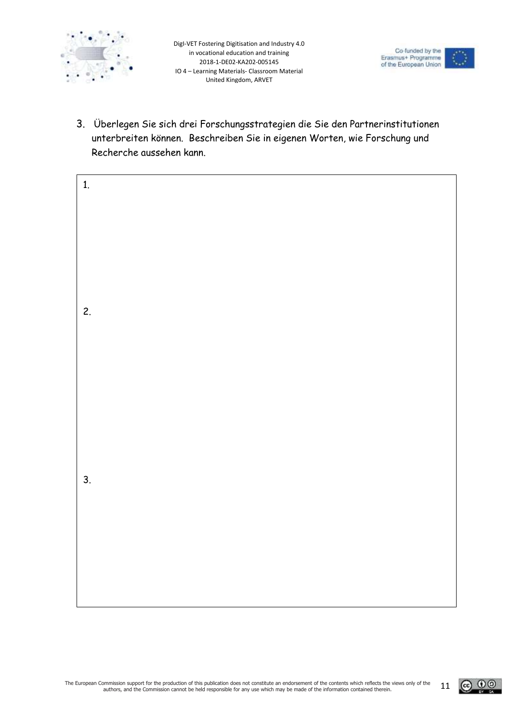



3. Überlegen Sie sich drei Forschungsstrategien die Sie den Partnerinstitutionen unterbreiten können. Beschreiben Sie in eigenen Worten, wie Forschung und Recherche aussehen kann.

| 1. |  |  |
|----|--|--|
|    |  |  |
|    |  |  |
|    |  |  |
|    |  |  |
| 2. |  |  |
|    |  |  |
|    |  |  |
|    |  |  |
|    |  |  |
|    |  |  |
| 3. |  |  |
|    |  |  |
|    |  |  |
|    |  |  |
|    |  |  |

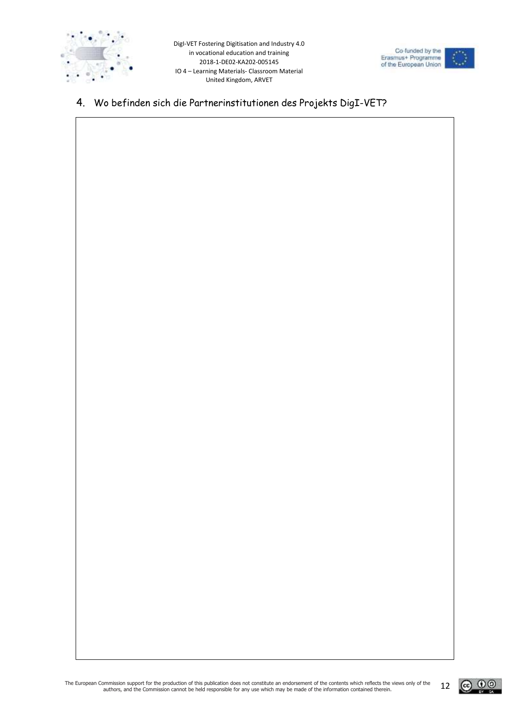



4. Wo befinden sich die Partnerinstitutionen des Projekts DigI-VET?